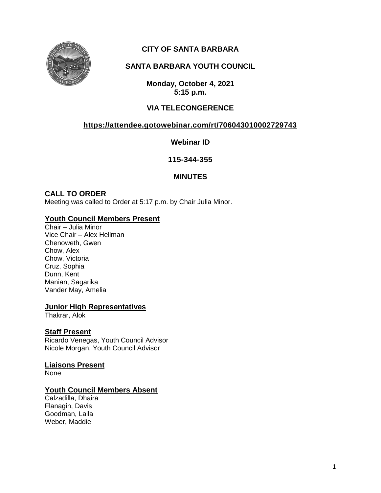

# **CITY OF SANTA BARBARA**

# **SANTA BARBARA YOUTH COUNCIL**

**Monday, October 4, 2021 5:15 p.m.**

## **VIA TELECONGERENCE**

## **<https://attendee.gotowebinar.com/rt/706043010002729743>**

**Webinar ID**

**115-344-355**

### **MINUTES**

### **CALL TO ORDER**

Meeting was called to Order at 5:17 p.m. by Chair Julia Minor.

### **Youth Council Members Present**

Chair – Julia Minor Vice Chair – Alex Hellman Chenoweth, Gwen Chow, Alex Chow, Victoria Cruz, Sophia Dunn, Kent Manian, Sagarika Vander May, Amelia

#### **Junior High Representatives**

Thakrar, Alok

### **Staff Present**

Ricardo Venegas, Youth Council Advisor Nicole Morgan, Youth Council Advisor

**Liaisons Present** None

### **Youth Council Members Absent**

Calzadilla, Dhaira Flanagin, Davis Goodman, Laila Weber, Maddie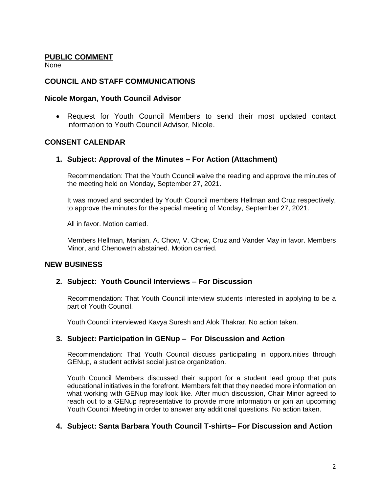#### **PUBLIC COMMENT**

None

### **COUNCIL AND STAFF COMMUNICATIONS**

#### **Nicole Morgan, Youth Council Advisor**

 Request for Youth Council Members to send their most updated contact information to Youth Council Advisor, Nicole.

### **CONSENT CALENDAR**

#### **1. Subject: Approval of the Minutes – For Action (Attachment)**

Recommendation: That the Youth Council waive the reading and approve the minutes of the meeting held on Monday, September 27, 2021.

It was moved and seconded by Youth Council members Hellman and Cruz respectively, to approve the minutes for the special meeting of Monday, September 27, 2021.

All in favor. Motion carried.

Members Hellman, Manian, A. Chow, V. Chow, Cruz and Vander May in favor. Members Minor, and Chenoweth abstained. Motion carried.

### **NEW BUSINESS**

### **2. Subject: Youth Council Interviews – For Discussion**

Recommendation: That Youth Council interview students interested in applying to be a part of Youth Council.

Youth Council interviewed Kavya Suresh and Alok Thakrar. No action taken.

### **3. Subject: Participation in GENup – For Discussion and Action**

Recommendation: That Youth Council discuss participating in opportunities through GENup, a student activist social justice organization.

Youth Council Members discussed their support for a student lead group that puts educational initiatives in the forefront. Members felt that they needed more information on what working with GENup may look like. After much discussion, Chair Minor agreed to reach out to a GENup representative to provide more information or join an upcoming Youth Council Meeting in order to answer any additional questions. No action taken.

### **4. Subject: Santa Barbara Youth Council T-shirts– For Discussion and Action**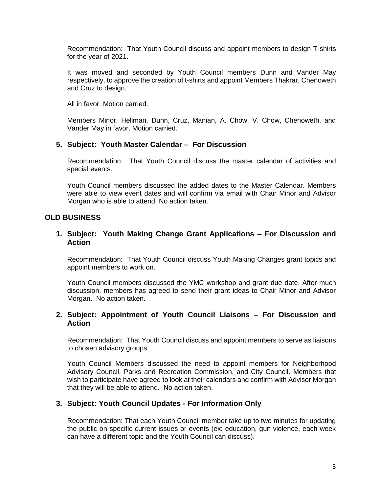Recommendation: That Youth Council discuss and appoint members to design T-shirts for the year of 2021.

It was moved and seconded by Youth Council members Dunn and Vander May respectively, to approve the creation of t-shirts and appoint Members Thakrar, Chenoweth and Cruz to design.

All in favor. Motion carried.

Members Minor, Hellman, Dunn, Cruz, Manian, A. Chow, V. Chow, Chenoweth, and Vander May in favor. Motion carried.

#### **5. Subject: Youth Master Calendar – For Discussion**

Recommendation: That Youth Council discuss the master calendar of activities and special events.

Youth Council members discussed the added dates to the Master Calendar. Members were able to view event dates and will confirm via email with Chair Minor and Advisor Morgan who is able to attend. No action taken.

### **OLD BUSINESS**

#### **1. Subject: Youth Making Change Grant Applications – For Discussion and Action**

Recommendation: That Youth Council discuss Youth Making Changes grant topics and appoint members to work on.

Youth Council members discussed the YMC workshop and grant due date. After much discussion, members has agreed to send their grant ideas to Chair Minor and Advisor Morgan. No action taken.

#### **2. Subject: Appointment of Youth Council Liaisons – For Discussion and Action**

Recommendation: That Youth Council discuss and appoint members to serve as liaisons to chosen advisory groups.

Youth Council Members discussed the need to appoint members for Neighborhood Advisory Council, Parks and Recreation Commission, and City Council. Members that wish to participate have agreed to look at their calendars and confirm with Advisor Morgan that they will be able to attend. No action taken.

### **3. Subject: Youth Council Updates - For Information Only**

Recommendation: That each Youth Council member take up to two minutes for updating the public on specific current issues or events (ex: education, gun violence, each week can have a different topic and the Youth Council can discuss).